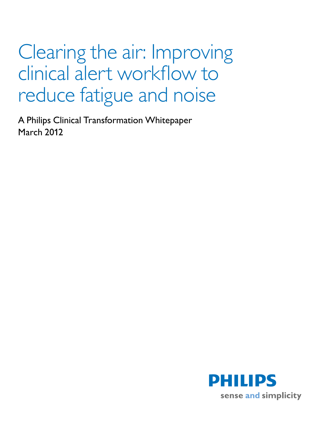# Clearing the air: Improving clinical alert workflow to reduce fatigue and noise

A Philips Clinical Transformation Whitepaper March 2012

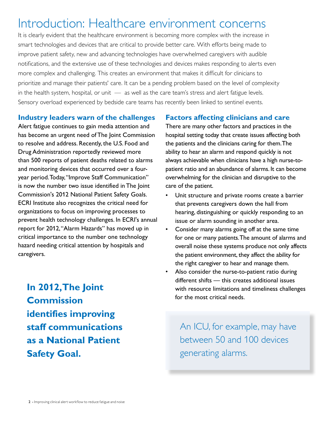# Introduction: Healthcare environment concerns

It is clearly evident that the healthcare environment is becoming more complex with the increase in smart technologies and devices that are critical to provide better care. With efforts being made to improve patient safety, new and advancing technologies have overwhelmed caregivers with audible notifications, and the extensive use of these technologies and devices makes responding to alerts even more complex and challenging. This creates an environment that makes it difficult for clinicians to prioritize and manage their patients' care. It can be a pending problem based on the level of complexity in the health system, hospital, or unit  $-$  as well as the care team's stress and alert fatigue levels. Sensory overload experienced by bedside care teams has recently been linked to sentinel events.

#### **Industry leaders warn of the challenges**

Alert fatigue continues to gain media attention and has become an urgent need of The Joint Commission to resolve and address. Recently, the U.S. Food and Drug Administration reportedly reviewed more than 500 reports of patient deaths related to alarms and monitoring devices that occurred over a fouryear period. Today, "Improve Staff Communication" is now the number two issue identified in The Joint Commission's 2012 National Patient Safety Goals. ECRI Institute also recognizes the critical need for organizations to focus on improving processes to prevent health technology challenges. In ECRI's annual report for 2012, "Alarm Hazards" has moved up in critical importance to the number one technology hazard needing critical attention by hospitals and caregivers.

**In 2012, The Joint Commission identifies improving staff communications as a National Patient Safety Goal.** 

### **Factors affecting clinicians and care**

There are many other factors and practices in the hospital setting today that create issues affecting both the patients and the clinicians caring for them. The ability to hear an alarm and respond quickly is not always achievable when clinicians have a high nurse-topatient ratio and an abundance of alarms. It can become overwhelming for the clinician and disruptive to the care of the patient.

- Unit structure and private rooms create a barrier that prevents caregivers down the hall from hearing, distinguishing or quickly responding to an issue or alarm sounding in another area.
- Consider many alarms going off at the same time for one or many patients. The amount of alarms and overall noise these systems produce not only affects the patient environment, they affect the ability for the right caregiver to hear and manage them.
- Also consider the nurse-to-patient ratio during different shifts — this creates additional issues with resource limitations and timeliness challenges for the most critical needs.

An ICU, for example, may have between 50 and 100 devices generating alarms.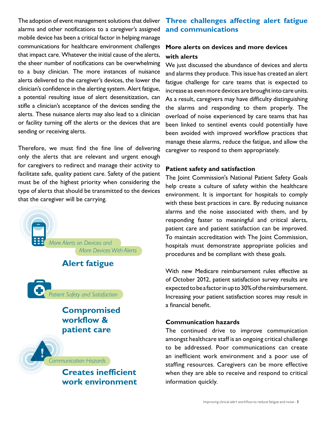The adoption of event management solutions that deliver alarms and other notifications to a caregiver's assigned mobile device has been a critical factor in helping manage communications for healthcare environment challenges that impact care. Whatever the initial cause of the alerts, the sheer number of notifications can be overwhelming to a busy clinician. The more instances of nuisance alerts delivered to the caregiver's devices, the lower the clinician's confidence in the alerting system. Alert fatigue, a potential resulting issue of alert desensitization, can stifle a clinician's acceptance of the devices sending the alerts. These nuisance alerts may also lead to a clinician or facility turning off the alerts or the devices that are sending or receiving alerts.

Therefore, we must find the fine line of delivering only the alerts that are relevant and urgent enough for caregivers to redirect and manage their activity to facilitate safe, quality patient care. Safety of the patient must be of the highest priority when considering the type of alerts that should be transmitted to the devices that the caregiver will be carrying.

More Alerts on Devices and **Alert fatigue** More Devices With Alerts Patient Safety and Satisfaction **Compromised workflow & patient care** Communication Hazards **Creates inefficient work environment**

# **Three challenges affecting alert fatigue and communications**

# **More alerts on devices and more devices with alerts**

We just discussed the abundance of devices and alerts and alarms they produce. This issue has created an alert fatigue challenge for care teams that is expected to increase as even more devices are brought into care units. As a result, caregivers may have difficulty distinguishing the alarms and responding to them properly. The overload of noise experienced by care teams that has been linked to sentinel events could potentially have been avoided with improved workflow practices that manage these alarms, reduce the fatigue, and allow the caregiver to respond to them appropriately.

#### **Patient safety and satisfaction**

The Joint Commission's National Patient Safety Goals help create a culture of safety within the healthcare environment. It is important for hospitals to comply with these best practices in care. By reducing nuisance alarms and the noise associated with them, and by responding faster to meaningful and critical alerts, patient care and patient satisfaction can be improved. To maintain accreditation with The Joint Commission, hospitals must demonstrate appropriate policies and procedures and be compliant with these goals.

With new Medicare reimbursement rules effective as of October 2012, patient satisfaction survey results are expected to be a factor in up to 30% of the reimbursement. Increasing your patient satisfaction scores may result in a financial benefit.

#### **Communication hazards**

The continued drive to improve communication amongst healthcare staff is an ongoing critical challenge to be addressed. Poor communications can create an inefficient work environment and a poor use of staffing resources. Caregivers can be more effective when they are able to receive and respond to critical information quickly.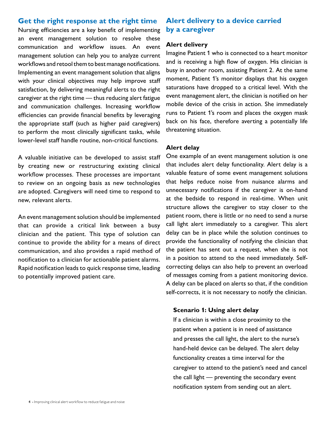# **Get the right response at the right time**

Nursing efficiencies are a key benefit of implementing an event management solution to resolve these communication and workflow issues. An event management solution can help you to analyze current workflows and retool them to best manage notifications. Implementing an event management solution that aligns with your clinical objectives may help improve staff satisfaction, by delivering meaningful alerts to the right caregiver at the right time — thus reducing alert fatigue and communication challenges. Increasing workflow efficiencies can provide financial benefits by leveraging the appropriate staff (such as higher paid caregivers) to perform the most clinically significant tasks, while lower-level staff handle routine, non-critical functions.

A valuable initiative can be developed to assist staff by creating new or restructuring existing clinical workflow processes. These processes are important to review on an ongoing basis as new technologies are adopted. Caregivers will need time to respond to new, relevant alerts.

An event management solution should be implemented that can provide a critical link between a busy clinician and the patient. This type of solution can continue to provide the ability for a means of direct communication, and also provides a rapid method of notification to a clinician for actionable patient alarms. Rapid notification leads to quick response time, leading to potentially improved patient care.

# **Alert delivery to a device carried by a caregiver**

#### **Alert delivery**

Imagine Patient 1 who is connected to a heart monitor and is receiving a high flow of oxygen. His clinician is busy in another room, assisting Patient 2. At the same moment, Patient 1's monitor displays that his oxygen saturations have dropped to a critical level. With the event management alert, the clinician is notified on her mobile device of the crisis in action. She immediately runs to Patient 1's room and places the oxygen mask back on his face, therefore averting a potentially life threatening situation.

#### **Alert delay**

One example of an event management solution is one that includes alert delay functionality. Alert delay is a valuable feature of some event management solutions that helps reduce noise from nuisance alarms and unnecessary notifications if the caregiver is on-hand at the bedside to respond in real-time. When unit structure allows the caregiver to stay closer to the patient room, there is little or no need to send a nurse call light alert immediately to a caregiver. This alert delay can be in place while the solution continues to provide the functionality of notifying the clinician that the patient has sent out a request, when she is not in a position to attend to the need immediately. Selfcorrecting delays can also help to prevent an overload of messages coming from a patient monitoring device. A delay can be placed on alerts so that, if the condition self-corrects, it is not necessary to notify the clinician.

#### **Scenario 1: Using alert delay**

If a clinician is within a close proximity to the patient when a patient is in need of assistance and presses the call light, the alert to the nurse's hand-held device can be delayed. The alert delay functionality creates a time interval for the caregiver to attend to the patient's need and cancel the call light — preventing the secondary event notification system from sending out an alert.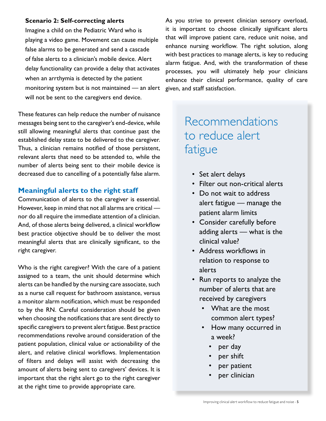#### **Scenario 2: Self-correcting alerts**

Imagine a child on the Pediatric Ward who is playing a video game. Movement can cause multiple false alarms to be generated and send a cascade of false alerts to a clinician's mobile device. Alert delay functionality can provide a delay that activates when an arrthymia is detected by the patient monitoring system but is not maintained — an alert will not be sent to the caregivers end device.

These features can help reduce the number of nuisance messages being sent to the caregiver's end-device, while still allowing meaningful alerts that continue past the established delay state to be delivered to the caregiver. Thus, a clinician remains notified of those persistent, relevant alerts that need to be attended to, while the number of alerts being sent to their mobile device is decreased due to cancelling of a potentially false alarm.

## **Meaningful alerts to the right staff**

Communication of alerts to the caregiver is essential. However, keep in mind that not all alarms are critical nor do all require the immediate attention of a clinician. And, of those alerts being delivered, a clinical workflow best practice objective should be to deliver the most meaningful alerts that are clinically significant, to the right caregiver.

Who is the right caregiver? With the care of a patient assigned to a team, the unit should determine which alerts can be handled by the nursing care associate, such as a nurse call request for bathroom assistance, versus a monitor alarm notification, which must be responded to by the RN. Careful consideration should be given when choosing the notifications that are sent directly to specific caregivers to prevent alert fatigue. Best practice recommendations revolve around consideration of the patient population, clinical value or actionability of the alert, and relative clinical workflows. Implementation of filters and delays will assist with decreasing the amount of alerts being sent to caregivers' devices. It is important that the right alert go to the right caregiver at the right time to provide appropriate care.

As you strive to prevent clinician sensory overload, it is important to choose clinically significant alerts that will improve patient care, reduce unit noise, and enhance nursing workflow. The right solution, along with best practices to manage alerts, is key to reducing alarm fatigue. And, with the transformation of these processes, you will ultimately help your clinicians enhance their clinical performance, quality of care given, and staff satisfaction.

# Recommendations to reduce alert fatigue

- Set alert delays
- Filter out non-critical alerts
- Do not wait to address alert fatigue — manage the patient alarm limits
- Consider carefully before adding alerts — what is the clinical value?
- Address workflows in relation to response to alerts
- Run reports to analyze the number of alerts that are received by caregivers
	- What are the most common alert types?
	- How many occurred in a week?
		- per day
		- per shift
		- per patient
		- per clinician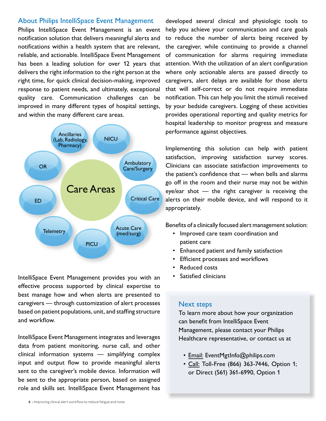#### About Philips IntelliSpace Event Management

Philips IntelliSpace Event Management is an event notification solution that delivers meaningful alerts and notifications within a health system that are relevant, reliable, and actionable. IntelliSpace Event Management has been a leading solution for over 12 years that delivers the right information to the right person at the right time, for quick clinical decision-making, improved response to patient needs, and ultimately, exceptional quality care. Communication challenges can be improved in many different types of hospital settings, and within the many different care areas.



IntelliSpace Event Management provides you with an effective process supported by clinical expertise to best manage how and when alerts are presented to caregivers — through customization of alert processes based on patient populations, unit, and staffing structure and workflow.

IntelliSpace Event Management integrates and leverages data from patient monitoring, nurse call, and other clinical information systems — simplifying complex input and output flow to provide meaningful alerts sent to the caregiver's mobile device. Information will be sent to the appropriate person, based on assigned role and skills set. IntelliSpace Event Management has

developed several clinical and physiologic tools to help you achieve your communication and care goals to reduce the number of alerts being received by the caregiver, while continuing to provide a channel of communication for alarms requiring immediate attention. With the utilization of an alert configuration where only actionable alerts are passed directly to caregivers, alert delays are available for those alerts that will self-correct or do not require immediate notification. This can help you limit the stimuli received by your bedside caregivers. Logging of these activities provides operational reporting and quality metrics for hospital leadership to monitor progress and measure performance against objectives.

Implementing this solution can help with patient satisfaction, improving satisfaction survey scores. Clinicians can associate satisfaction improvements to the patient's confidence that — when bells and alarms go off in the room and their nurse may not be within eye/ear shot — the right caregiver is receiving the alerts on their mobile device, and will respond to it appropriately.

Benefits of a clinically focused alert management solution:

- Improved care team coordination and patient care
- Enhanced patient and family satisfaction
- Efficient processes and workflows
- Reduced costs
- Satisfied clinicians

#### Next steps

To learn more about how your organization can benefit from IntelliSpace Event Management, please contact your Philips Healthcare representative, or contact us at

- Email: EventMgtInfo@philips.com
- Call: Toll-Free (866) 363-7446, Option 1; or Direct (561) 361-6990, Option 1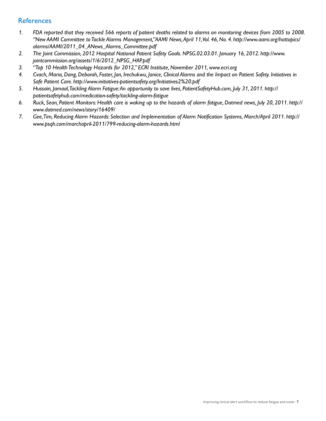### **References**

- 1. FDA reported that they received 566 reports of patient deaths related to alarms on monitoring devices from 2005 to 2008. *"New AAMI Committee to Tackle Alarms Management,"AAMI News,April 11,Vol. 46, No. 4. http://www.aami.org/hottopics/ alarms/AAMI/2011\_04\_ANews\_Alarms\_Committee.pdf*
- *2. The Joint Commission, 2012 Hospital National Patient Safety Goals. NPSG.02.03.01. January 16, 2012. http://www. jointcommission.org/assets/1/6/2012\_NPSG\_HAP.pdf*
- *3. "Top 10 Health Technology Hazards for 2012," ECRI Institute, November 2011, www.ecri.org*
- 4. Cvach, Maria, Dang, Deborah, Foster, Jan, Irechukwu, Janice, Clinical Alarms and the Impact on Patient Safety. Initiatives in *Safe Patient Care. http://www.initiatives-patientsafety.org/Initiatives2%20.pdf*
- *5. Hussain, Jamaal,Tackling Alarm Fatigue:An opportunity to save lives, PatientSafetyHub.com, July 31, 2011. http:// patientsafetyhub.com/medication-safety/tackling-alarm-fatigue*
- 6. Ruck, Sean, Patient Monitors: Health care is waking up to the hazards of alarm fatigue, Dotmed news, July 20, 2011. http:// *www.dotmed.com/news/story/16409/*
- 7. Gee, Tim, Reducing Alarm Hazards: Selection and Implementation of Alarm Notification Systems, March/April 2011. http:// *www.psqh.com/marchapril-2011/799-reducing-alarm-hazards.html*